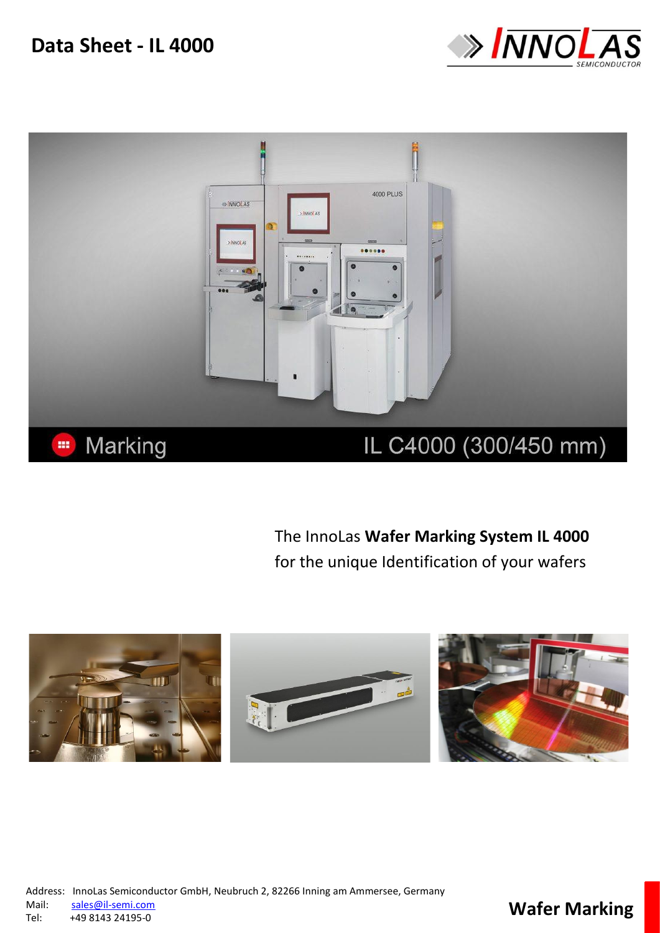**Data Sheet - IL 4000**





The InnoLas **Wafer Marking System IL 4000**  for the unique Identification of your wafers